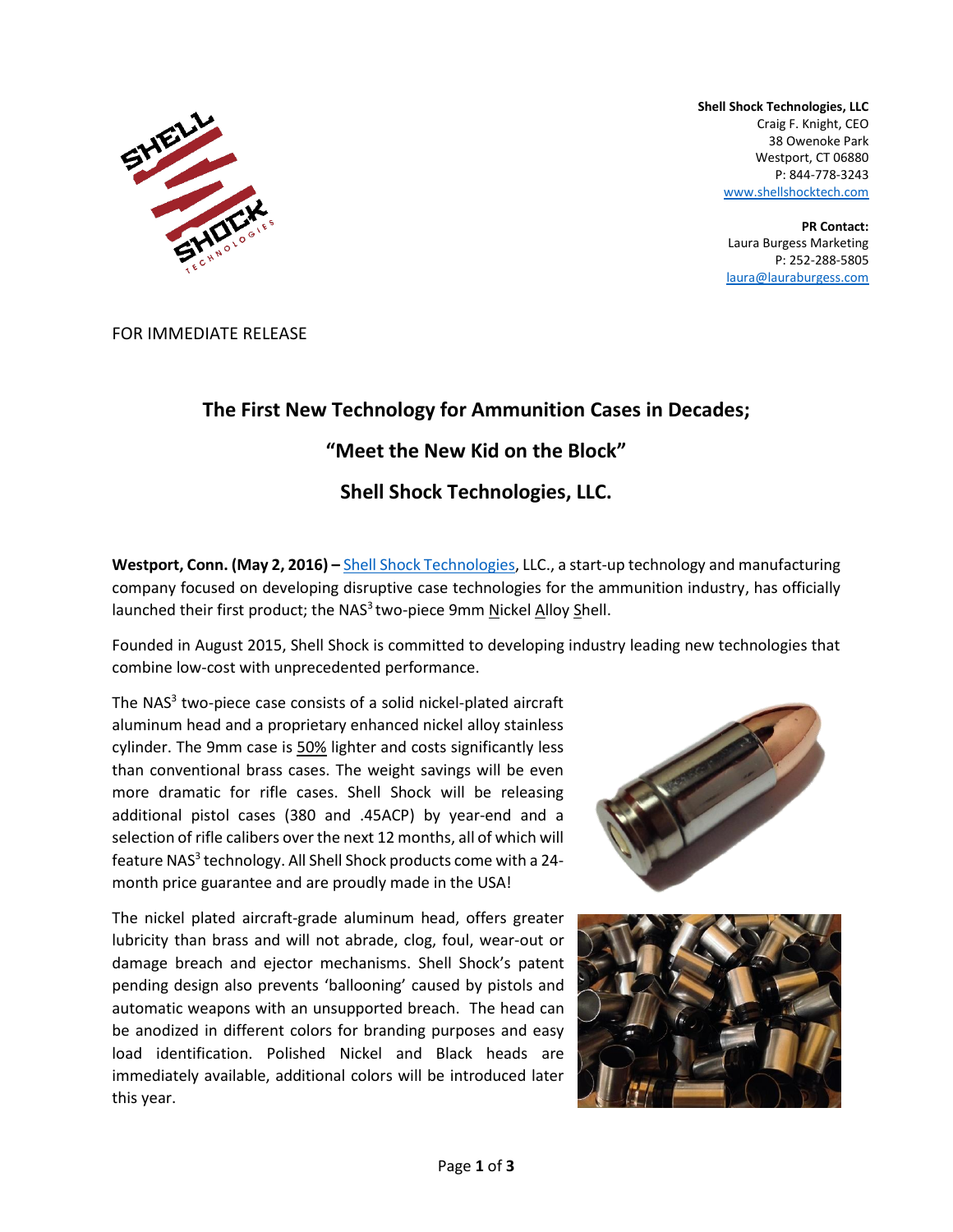

**Shell Shock Technologies, LLC** Craig F. Knight, CEO 38 Owenoke Park Westport, CT 06880 P: 844-778-3243 [www.shellshocktech.com](http://www.shellshocktech.com/)

> **PR Contact:** Laura Burgess Marketing P: 252-288-5805 [laura@lauraburgess.com](mailto:laura@lauraburgess.com)

FOR IMMEDIATE RELEASE

# **The First New Technology for Ammunition Cases in Decades; "Meet the New Kid on the Block"**

### **Shell Shock Technologies, LLC.**

**Westport, Conn. (May 2, 2016) –** [Shell Shock Technologies,](http://www.shellshocktech.com/) LLC., a start-up technology and manufacturing company focused on developing disruptive case technologies for the ammunition industry, has officially launched their first product; the NAS<sup>3</sup> two-piece 9mm Nickel Alloy Shell.

Founded in August 2015, Shell Shock is committed to developing industry leading new technologies that combine low-cost with unprecedented performance.

The NAS<sup>3</sup> two-piece case consists of a solid nickel-plated aircraft aluminum head and a proprietary enhanced nickel alloy stainless cylinder. The 9mm case is 50% lighter and costs significantly less than conventional brass cases. The weight savings will be even more dramatic for rifle cases. Shell Shock will be releasing additional pistol cases (380 and .45ACP) by year-end and a selection of rifle calibers over the next 12 months, all of which will feature NAS<sup>3</sup> technology. All Shell Shock products come with a 24month price guarantee and are proudly made in the USA!

The nickel plated aircraft-grade aluminum head, offers greater lubricity than brass and will not abrade, clog, foul, wear-out or damage breach and ejector mechanisms. Shell Shock's patent pending design also prevents 'ballooning' caused by pistols and automatic weapons with an unsupported breach. The head can be anodized in different colors for branding purposes and easy load identification. Polished Nickel and Black heads are immediately available, additional colors will be introduced later this year.



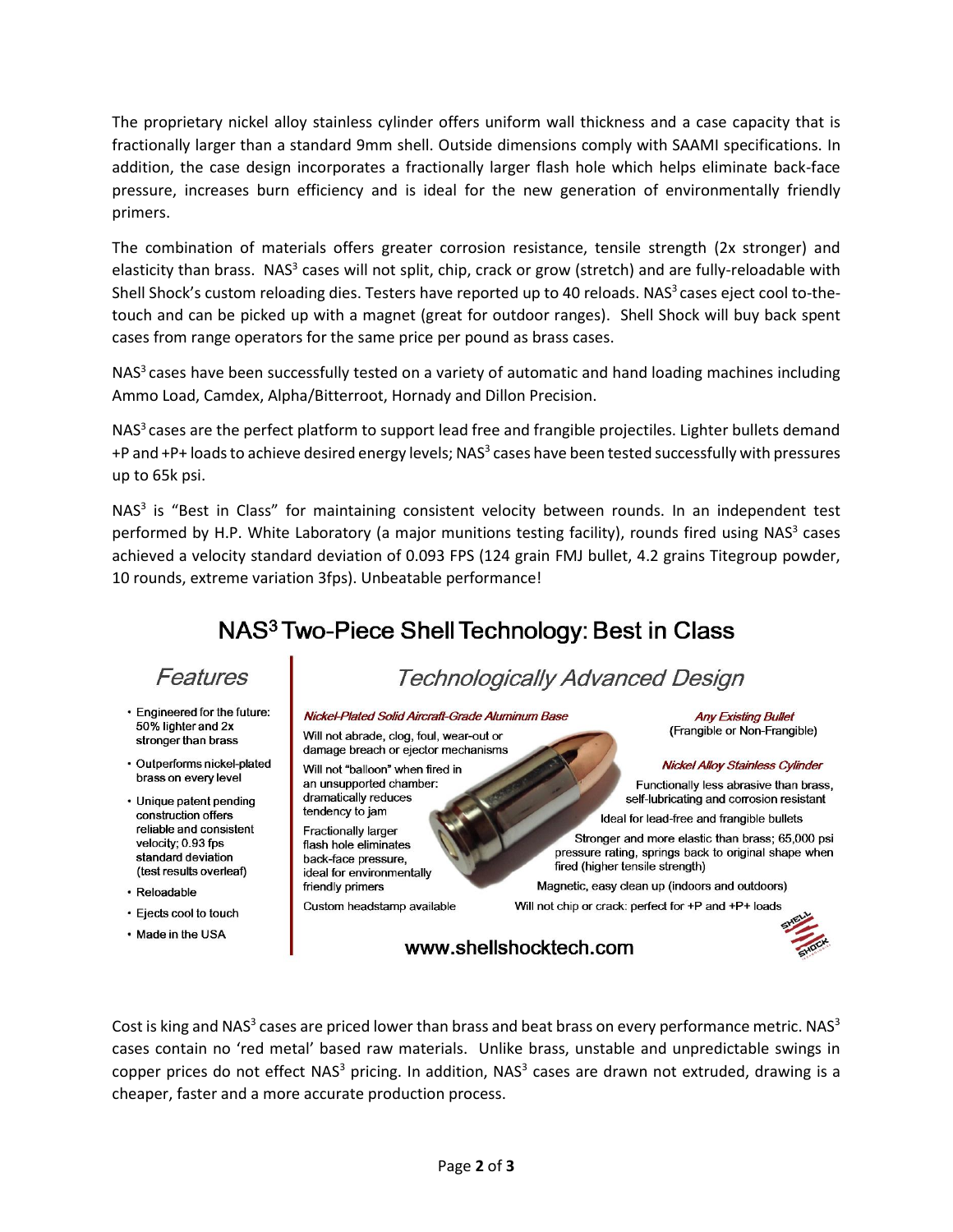The proprietary nickel alloy stainless cylinder offers uniform wall thickness and a case capacity that is fractionally larger than a standard 9mm shell. Outside dimensions comply with SAAMI specifications. In addition, the case design incorporates a fractionally larger flash hole which helps eliminate back-face pressure, increases burn efficiency and is ideal for the new generation of environmentally friendly primers.

The combination of materials offers greater corrosion resistance, tensile strength (2x stronger) and elasticity than brass. NAS<sup>3</sup> cases will not split, chip, crack or grow (stretch) and are fully-reloadable with Shell Shock's custom reloading dies. Testers have reported up to 40 reloads. NAS<sup>3</sup> cases eject cool to-thetouch and can be picked up with a magnet (great for outdoor ranges). Shell Shock will buy back spent cases from range operators for the same price per pound as brass cases.

NAS<sup>3</sup> cases have been successfully tested on a variety of automatic and hand loading machines including Ammo Load, Camdex, Alpha/Bitterroot, Hornady and Dillon Precision.

NAS<sup>3</sup> cases are the perfect platform to support lead free and frangible projectiles. Lighter bullets demand +P and +P+ loads to achieve desired energy levels; NAS<sup>3</sup> cases have been tested successfully with pressures up to 65k psi.

NAS<sup>3</sup> is "Best in Class" for maintaining consistent velocity between rounds. In an independent test performed by H.P. White Laboratory (a major munitions testing facility), rounds fired using NAS<sup>3</sup> cases achieved a velocity standard deviation of 0.093 FPS (124 grain FMJ bullet, 4.2 grains Titegroup powder, 10 rounds, extreme variation 3fps). Unbeatable performance!

# NAS<sup>3</sup> Two-Piece Shell Technology: Best in Class

### Features

- · Engineered for the future: 50% lighter and 2x stronger than brass
- · Outperforms nickel-plated brass on every level
- Unique patent pending construction offers reliable and consistent velocity: 0.93 fps standard deviation (test results overleaf)
- · Reloadable
- · Ejects cool to touch
- Made in the USA

# **Technologically Advanced Design**

### Nickel-Plated Solid Aircraft-Grade Aluminum Base

Will not abrade, clog, foul, wear-out or damage breach or ejector mechanisms

Will not "balloon" when fired in an unsupported chamber: dramatically reduces tendency to jam **Fractionally larger** flash hole eliminates back-face pressure,

ideal for environmentally friendly primers Custom headstamp available

**Any Existing Bullet** (Frangible or Non-Frangible)

#### Nickel Alloy Stainless Cylinder

Functionally less abrasive than brass, self-lubricating and corrosion resistant Ideal for lead-free and frangible bullets

Stronger and more elastic than brass; 65,000 psi pressure rating, springs back to original shape when fired (higher tensile strength)

Magnetic, easy clean up (indoors and outdoors)

Will not chip or crack: perfect for +P and +P+ loads

www.shellshocktech.com



Cost is king and NAS<sup>3</sup> cases are priced lower than brass and beat brass on every performance metric. NAS<sup>3</sup> cases contain no 'red metal' based raw materials. Unlike brass, unstable and unpredictable swings in copper prices do not effect NAS<sup>3</sup> pricing. In addition, NAS<sup>3</sup> cases are drawn not extruded, drawing is a cheaper, faster and a more accurate production process.